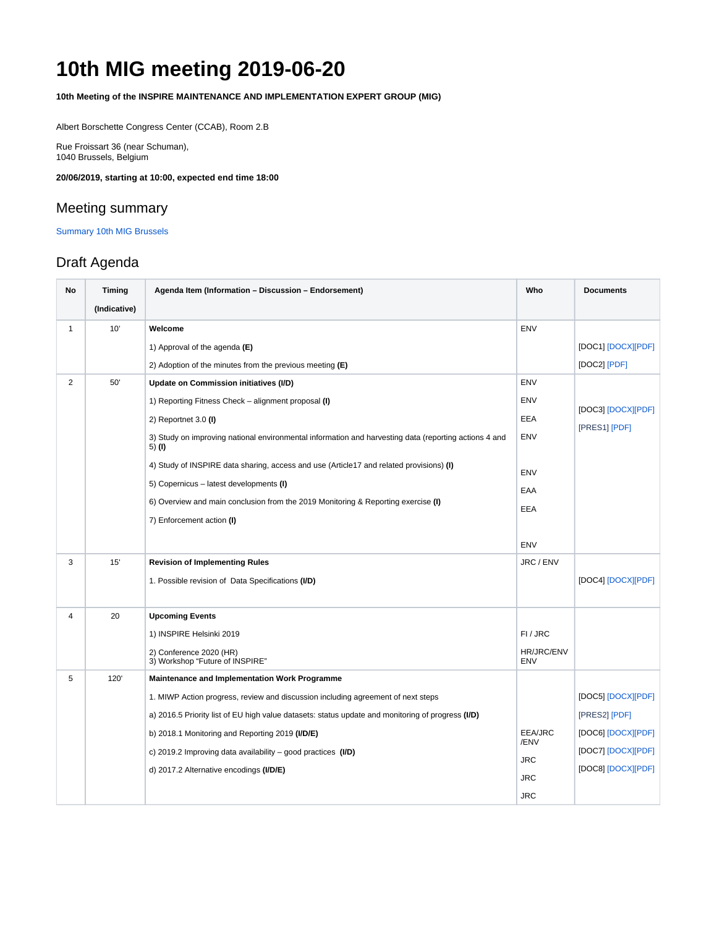## **10th MIG meeting 2019-06-20**

**10th Meeting of the INSPIRE MAINTENANCE AND IMPLEMENTATION EXPERT GROUP (MIG)**

Albert Borschette Congress Center (CCAB), Room 2.B

Rue Froissart 36 (near Schuman), 1040 Brussels, Belgium

**20/06/2019, starting at 10:00, expected end time 18:00**

## Meeting summary

[Summary 10th MIG Brussels](https://wikis.ec.europa.eu/download/attachments/33527444/Summary%2010th%20MIG%20Brussels_final.pdf?version=1&modificationDate=1582194829686&api=v2)

## Draft Agenda

| No             | <b>Timing</b> | Agenda Item (Information - Discussion - Endorsement)                                                            | Who               | <b>Documents</b>   |
|----------------|---------------|-----------------------------------------------------------------------------------------------------------------|-------------------|--------------------|
|                | (Indicative)  |                                                                                                                 |                   |                    |
| $\mathbf{1}$   | 10'           | Welcome                                                                                                         | <b>ENV</b>        |                    |
|                |               | 1) Approval of the agenda $(E)$                                                                                 |                   | [DOC1] [DOCX][PDF] |
|                |               | 2) Adoption of the minutes from the previous meeting $(E)$                                                      |                   | [DOC2] [PDF]       |
| $\overline{2}$ | 50'           | Update on Commission initiatives (I/D)                                                                          | ENV               |                    |
|                |               | 1) Reporting Fitness Check – alignment proposal (I)                                                             | <b>ENV</b>        | [DOC3] [DOCX][PDF] |
|                |               | 2) Reportnet $3.0$ (I)                                                                                          | <b>EEA</b>        | [PRES1] [PDF]      |
|                |               | 3) Study on improving national environmental information and harvesting data (reporting actions 4 and<br>5) (I) | ENV               |                    |
|                |               | 4) Study of INSPIRE data sharing, access and use (Article17 and related provisions) (I)                         | <b>ENV</b>        |                    |
|                |               | 5) Copernicus - latest developments (I)                                                                         | EAA               |                    |
|                |               | 6) Overview and main conclusion from the 2019 Monitoring & Reporting exercise (I)                               | EEA               |                    |
|                |               | 7) Enforcement action (I)                                                                                       |                   |                    |
|                |               |                                                                                                                 | <b>ENV</b>        |                    |
| 3              | 15'           | <b>Revision of Implementing Rules</b>                                                                           | JRC / ENV         |                    |
|                |               | 1. Possible revision of Data Specifications (I/D)                                                               |                   | [DOC4] [DOCX][PDF] |
|                |               |                                                                                                                 |                   |                    |
| $\overline{4}$ | 20            | <b>Upcoming Events</b>                                                                                          |                   |                    |
|                |               | 1) INSPIRE Helsinki 2019                                                                                        | FI/JRC            |                    |
|                |               | 2) Conference 2020 (HR)<br>3) Workshop "Future of INSPIRE"                                                      | HR/JRC/ENV<br>ENV |                    |
| 5              | 120'          | <b>Maintenance and Implementation Work Programme</b>                                                            |                   |                    |
|                |               | 1. MIWP Action progress, review and discussion including agreement of next steps                                |                   | [DOC5] [DOCX][PDF] |
|                |               | a) 2016.5 Priority list of EU high value datasets: status update and monitoring of progress (I/D)               |                   | [PRES2] [PDF]      |
|                |               | b) 2018.1 Monitoring and Reporting 2019 (I/D/E)                                                                 | EEA/JRC<br>/ENV   | [DOC6] [DOCX][PDF] |
|                |               | c) 2019.2 Improving data availability $-$ good practices (I/D)                                                  | <b>JRC</b>        | [DOC7] [DOCX][PDF] |
|                |               | d) 2017.2 Alternative encodings (I/D/E)                                                                         | <b>JRC</b>        | [DOC8] [DOCX][PDF] |
|                |               |                                                                                                                 | <b>JRC</b>        |                    |